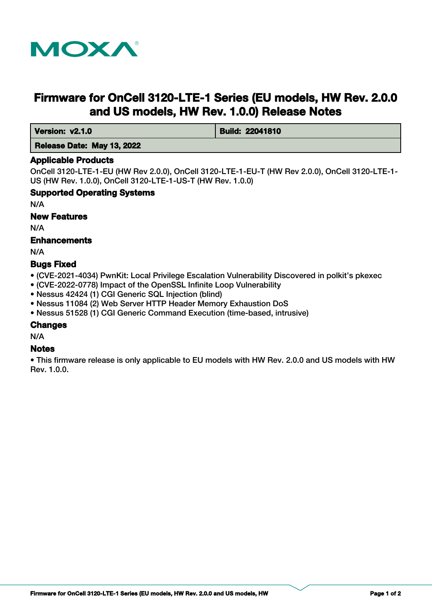

# **Firmware for OnCell 3120-LTE-1 Series (EU models, HW Rev. 2.0.0 and US models, HW Rev. 1.0.0) Release Notes**

**Version: v2.1.0 Build: 22041810** 

## **Release Date: May 13, 2022**

#### **Applicable Products**

OnCell 3120-LTE-1-EU (HW Rev 2.0.0), OnCell 3120-LTE-1-EU-T (HW Rev 2.0.0), OnCell 3120-LTE-1- US (HW Rev. 1.0.0), OnCell 3120-LTE-1-US-T (HW Rev. 1.0.0)

#### **Supported Operating Systems**

N/A

#### **New Features**

N/A

## **Enhancements**

N/A

#### **Bugs Fixed**

- (CVE-2021-4034) PwnKit: Local Privilege Escalation Vulnerability Discovered in polkit's pkexec
- (CVE-2022-0778) Impact of the OpenSSL Infinite Loop Vulnerability
- Nessus 42424 (1) CGI Generic SQL Injection (blind)
- Nessus 11084 (2) Web Server HTTP Header Memory Exhaustion DoS
- Nessus 51528 (1) CGI Generic Command Execution (time-based, intrusive)

## **Changes**

N/A

## **Notes**

• This firmware release is only applicable to EU models with HW Rev. 2.0.0 and US models with HW Rev. 1.0.0.